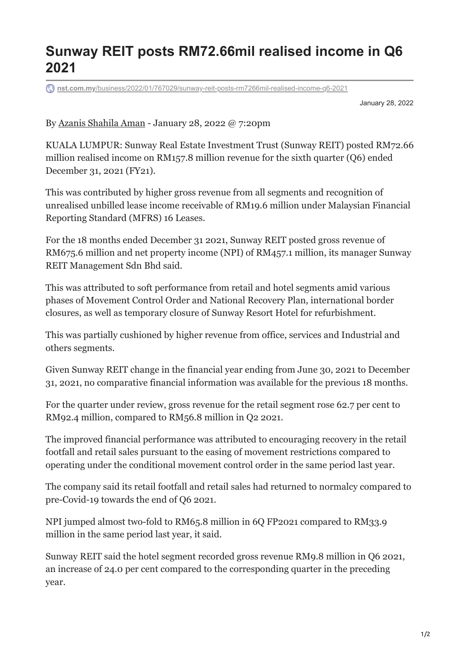## **Sunway REIT posts RM72.66mil realised income in Q6 2021**

**nst.com.my**[/business/2022/01/767029/sunway-reit-posts-rm7266mil-realised-income-q6-2021](https://www.nst.com.my/business/2022/01/767029/sunway-reit-posts-rm7266mil-realised-income-q6-2021)

January 28, 2022

By [Azanis Shahila Aman](https://www.nst.com.my/authors/azanis-shahila-aman) - January 28, 2022 @ 7:20pm

KUALA LUMPUR: Sunway Real Estate Investment Trust (Sunway REIT) posted RM72.66 million realised income on RM157.8 million revenue for the sixth quarter (Q6) ended December 31, 2021 (FY21).

This was contributed by higher gross revenue from all segments and recognition of unrealised unbilled lease income receivable of RM19.6 million under Malaysian Financial Reporting Standard (MFRS) 16 Leases.

For the 18 months ended December 31 2021, Sunway REIT posted gross revenue of RM675.6 million and net property income (NPI) of RM457.1 million, its manager Sunway REIT Management Sdn Bhd said.

This was attributed to soft performance from retail and hotel segments amid various phases of Movement Control Order and National Recovery Plan, international border closures, as well as temporary closure of Sunway Resort Hotel for refurbishment.

This was partially cushioned by higher revenue from office, services and Industrial and others segments.

Given Sunway REIT change in the financial year ending from June 30, 2021 to December 31, 2021, no comparative financial information was available for the previous 18 months.

For the quarter under review, gross revenue for the retail segment rose 62.7 per cent to RM92.4 million, compared to RM56.8 million in Q2 2021.

The improved financial performance was attributed to encouraging recovery in the retail footfall and retail sales pursuant to the easing of movement restrictions compared to operating under the conditional movement control order in the same period last year.

The company said its retail footfall and retail sales had returned to normalcy compared to pre-Covid-19 towards the end of Q6 2021.

NPI jumped almost two-fold to RM65.8 million in 6Q FP2021 compared to RM33.9 million in the same period last year, it said.

Sunway REIT said the hotel segment recorded gross revenue RM9.8 million in Q6 2021, an increase of 24.0 per cent compared to the corresponding quarter in the preceding year.